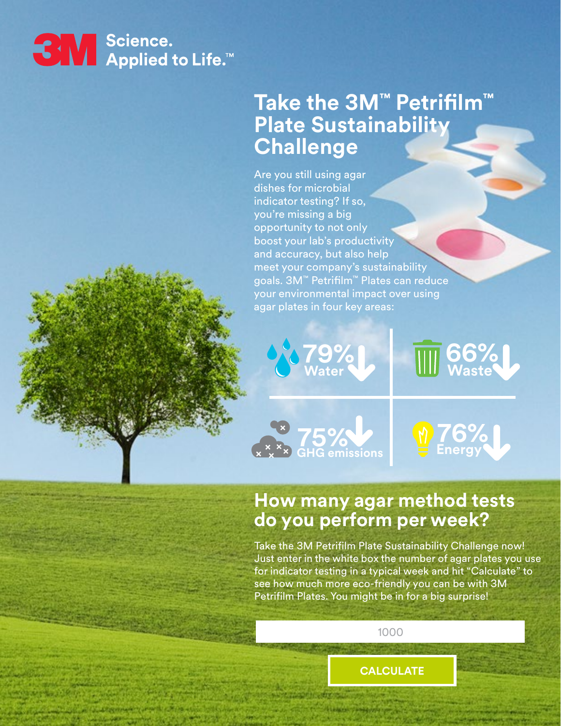

**79%**

**76% Energy**

**79%**

**76%**

**76% Energy**

## **Take the 3M™ Petrifilm™ Plate Sustainability Challenge**

Are you still using agar dishes for microbial indicator testing? If so, you're missing a big opportunity to not only boost your lab's productivity and accuracy, but also help meet your company's sustainability goals. 3M™ Petrifilm™ Plates can reduce your environmental impact over using agar plates in four key areas:



## **How many agar method tests do you perform per week?**

Take the 3M Petrifilm Plate Sustainability Challenge now! Just enter in the white box the number of agar plates you use for indicator testing in a typical week and hit "Calculate" to see how much more eco-friendly you can be with 3M Petrifilm Plates. You might be in for a big surprise!

1000

**CALCULATE**